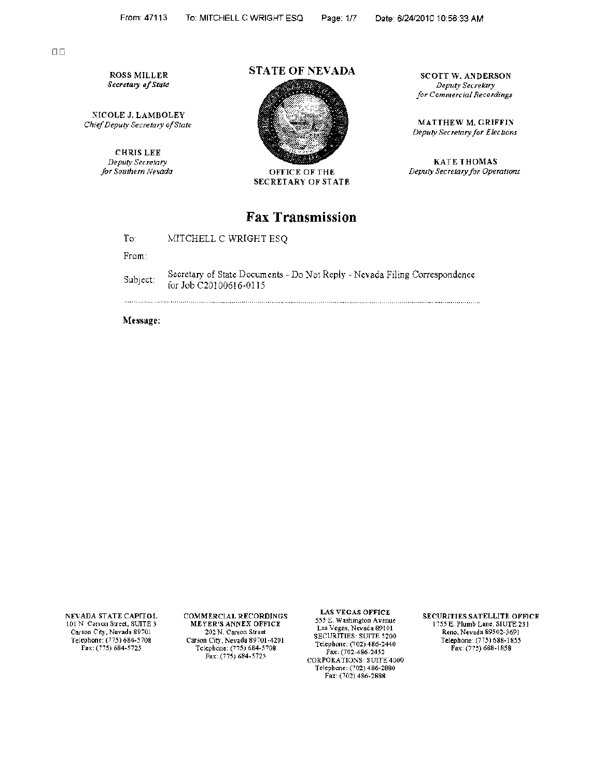DC

ROSS MILLER *Secretary of State* 

NICOLE J. LAMBOLEY *Chief Deputy Secretary of State* 

> CHRIS LEE *Deputy Secretary for Southern !1levada*

### STATE OF NEVADA



OFFICE OF THE SECRETARY OF STATE

# Fax Transmission

To: MITCHELL C WRIGHT ESQ

From

Subject: Secretary of State Documents - Do Not Reply - Nevada Filing Correspondence for Job C20100616-0115

Message:

. . . . . . . . . . . . . . . . . . . .

NEVADA STATE CAPITOL 101 N. Carson Street, SUITE 3 Carson City, Nevada 89701 Telephone: (775) 684-5708<br>Fax: (775) 684-5725

COMMERCIAL RECORDINGS MEYER'S ANNEX OFFICE 202 N. Carson Street Carson City, Nevada 89701-4201 Telephone: (775) 684-5708 Fax. (775) 684-5725

LAS VEGAS OFFICE 5.55 E. Washington Avenue Las Vegas, Nevada 89101 SECURITIES: SUITE 5200 Telephone: (702) 486-2440 Fax. (702-486-2452 CORPORATIONS: SUITE 4000 Telephone: (702) 486-2880 Fax: (702) 486-2888

SECURITIES SATELLITE OFFICE 1755 E. Plumb Lane, SIUTE 231 Reno, Nevada 89502-3691 Telephone (775) 688-1855 Fax: (775) 688-1858

SCOTT W. ANDERSON *Deputy Secretary for Commercial Recordings* 

MATTHEW M. GRIFFIN *Deputy Secretary for Elections* 

KATE THOMAS *Deputy Secretary for Operations*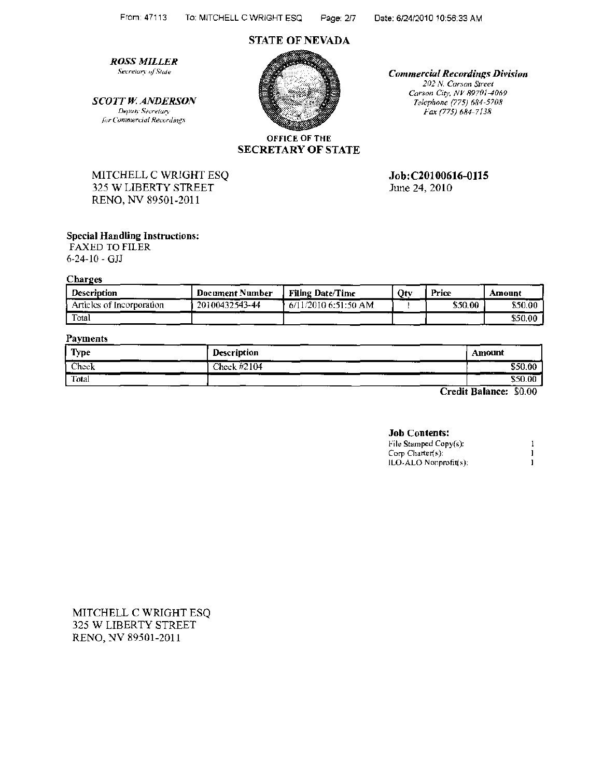# **STATE OF NEVADA**

**ROSS MILLER** Secretary of State

**SCOTT W. ANDERSON** Deputy Secretary for Commercial Recordings



**Commercial Recordings Division** 202 N. Carson Street Carson City, NV 89701-4069 Telephone (775) 684-5708 Fax (775) 684-7138

**OFFICE OF THE SECRETARY OF STATE** 

Job: C20100616-0115

June 24, 2010

MITCHELL C WRIGHT ESQ 325 W LIBERTY STREET RENO, NV 89501-2011

## **Special Handling Instructions:**

FAXED TO FILER  $6 - 24 - 10 - GJ$ 

**Charges** 

| <b>Description</b>        | <b>Document Number</b> | <b>Filing Date/Time</b> | Ot y | Price   | Amount  |
|---------------------------|------------------------|-------------------------|------|---------|---------|
| Articles of Incorporation | 20100432543-44         | $6/11/2010$ 6:51:50 AM  |      | \$50.00 | \$50.00 |
| Total                     |                        |                         |      |         | \$50.00 |

## **Payments**

| Type  | <b>Description</b>    | Amount  |
|-------|-----------------------|---------|
| Check | Check #2104<br>______ | \$50.00 |
| Total |                       | \$50.00 |

Credit Balance: \$0.00

#### **Job Contents:**

| File Stamped Copy(s): |  |
|-----------------------|--|
| Corp Charter(s):      |  |
| ILO-ALO Nonprofit(s); |  |

MITCHELL C WRIGHT ESQ 325 W LIBERTY STREET RENO, NV 89501-2011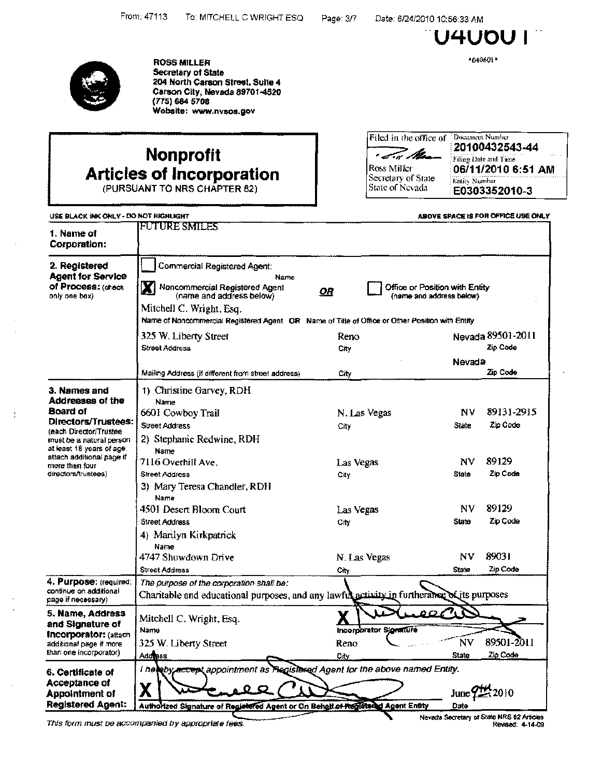Date: 6/24/2010 10:56:33 AM

U4UOU I

\*040601\*



Ť

**ROSS MILLER** Secretary of State 204 North Carson Street, Suite 4 Carson City, Nevada 89701-4520  $(775) 684 5708$ Website: www.nvsos.gov

# **Nonprofit Articles of Incorporation**

Filed in the office of Document Number · I.W. Man Ross Miller Secretary of State Entity Number State of Nevada

20100432543-44 Filing Date and Time 06/11/2010 6:51 AM E0303352010-3

| USE BLACK INK ONLY - DO NOT HIGHLIGHT                                            |                                                                                                                                                                                                                                          |                        | ABOVE SPACE IS FOR OFFICE USE ONLY                         |
|----------------------------------------------------------------------------------|------------------------------------------------------------------------------------------------------------------------------------------------------------------------------------------------------------------------------------------|------------------------|------------------------------------------------------------|
| 1. Name of<br>Corporation:                                                       | <b>FUTURE SMILES</b>                                                                                                                                                                                                                     |                        |                                                            |
| 2. Registered<br><b>Agent for Service</b><br>of Process: (check<br>only one box) | <b>Commercial Registered Agent:</b><br>Name<br>Noncommercial Registered Agent<br>(name and address below)<br>Mitchell C. Wright, Esq.<br>Name of Noncommercial Registered Agent OR Name of Title of Office or Other Position with Entity | <u>OR</u>              | Office or Position with Entity<br>(name and address below) |
|                                                                                  | 325 W. Liberty Street                                                                                                                                                                                                                    | Reno                   | Nevada 89501-2011                                          |
|                                                                                  | Street Address                                                                                                                                                                                                                           | City                   | Zip Code                                                   |
|                                                                                  |                                                                                                                                                                                                                                          |                        | Nevada                                                     |
|                                                                                  | Mailing Address (if different from street address)                                                                                                                                                                                       | City                   | Zin Code                                                   |
| 3. Names and<br>Addresses of the                                                 | 1) Christine Garvey, RDH<br>Name                                                                                                                                                                                                         |                        |                                                            |
| Board of                                                                         | 6601 Cowboy Trail                                                                                                                                                                                                                        | N. Las Vegas           | 89131-2915<br>Nν                                           |
| Directors/Trustees:<br>(each Director/Trustee                                    | <b>Street Address</b>                                                                                                                                                                                                                    | City                   | Zip Code<br>State                                          |
| must be a natural person                                                         | 2) Stephanie Redwine, RDH                                                                                                                                                                                                                |                        |                                                            |
| at least 18 years of age:                                                        | Name                                                                                                                                                                                                                                     |                        |                                                            |
| attach additional page if<br>more than four                                      | 7116 Overhill Ave                                                                                                                                                                                                                        | Las Vegas              | 89129<br>ΝV                                                |
| directors/trustees)                                                              | <b>Street Address</b>                                                                                                                                                                                                                    | City                   | Zip Code<br><b>State</b>                                   |
|                                                                                  | 3) Mary Teresa Chandler, RDH<br>Name                                                                                                                                                                                                     |                        |                                                            |
|                                                                                  | 4501 Desert Bloom Court                                                                                                                                                                                                                  | Las Vegas              | 89129<br>NV                                                |
|                                                                                  | <b>Street Address</b>                                                                                                                                                                                                                    | City                   | Zip Code<br><b>State</b>                                   |
|                                                                                  | 4) Marilyn Kirkpatrick                                                                                                                                                                                                                   |                        |                                                            |
|                                                                                  | Name<br>4747 Showdown Drive                                                                                                                                                                                                              | N. Las Vegas           | 89031<br>ΝV                                                |
|                                                                                  | <b>Street Address</b>                                                                                                                                                                                                                    | City                   | Zip Code<br><b>State</b>                                   |
| 4. Purpose: (required)<br>continue on additional<br>page if necessary).          | The purpose of the corporation shall be:<br>Charitable and educational purposes, and any lawful activity in furtherance of its purposes                                                                                                  |                        |                                                            |
| 5. Name, Address<br>and Signature of<br><b>Incorporator:</b> (attach             | Mitchell C. Wright, Esq.<br>Name                                                                                                                                                                                                         | Incorporator Signature |                                                            |
| additional page if more                                                          | 325 W. Liberty Street                                                                                                                                                                                                                    | Reno                   | 89501-2011<br>NV                                           |
| than one incorporator)                                                           | Address                                                                                                                                                                                                                                  | City                   | <b>State</b><br>Zin Code                                   |
| 6. Certificate of<br>Acceptance of<br><b>Appointment of</b><br>Registered Agent: | I helpby accept appointment as Registered Agent for the above named Entity.<br>Χ<br>Authorized Signature of Registered Agent or On Behalf of Recisional Agent Entity                                                                     |                        | 2010<br>June'<br>Date                                      |

This form must be accompanied by appropriate fees.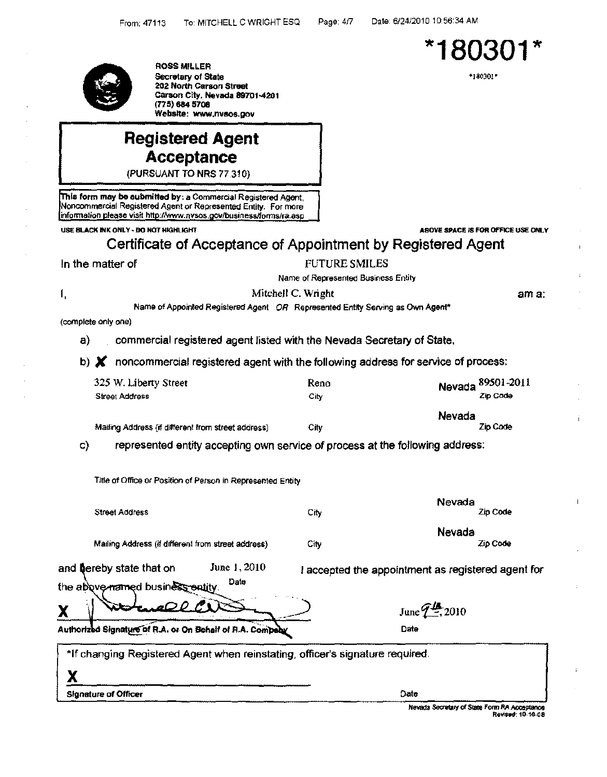

ROSSMILLER Secretary *o1* State 202 North Carson Street Carson City, Nevada 89701-4201 (775} 684 5708 Website: www.nvsos.gov

# Registered Agent Acceptance

(PURSUANT TO NRS 77 310)

Tnls form may be submitted by; a Commercial Registered Agent Noncommercial Registered Agent or Represented Entity. For more information please visit http://www.nvsos.gov/business/forms/ra.asp

USE BLACK INK ONLY - DO NOT HIGHLIGHT ABOVE SPACE IS FOR OFFICE USE ONLY

# Certificate of Acceptance of Appointment by Registered Agent

## In the matter of FUTURE SMILES

Name of Represented Business Entity

Mitchell C. Wright

ama:

Name of Appointed Registered Agent *OR* Represented Entity Serving as Own Agent\*

(complete only one)

I,

x

a) commercial registered agent listed with the Nevada Secretary of State,

b)  $\boldsymbol{X}$  noncommercial registered agent with the following address for service of process:

| 325 W. Liberty Street                              | Reno | Nevada 89501-2011  |
|----------------------------------------------------|------|--------------------|
| <b>Street Address</b>                              | City | Zip Code           |
| Mailing Address (if different from street address) | City | Nevada<br>Zip Code |

c) represented entity accepting own service of process at the following address:

Title of Office or Position of Person in Represented Entity

| <b>Street Address</b>                                                                | City | Nevada<br>Zip Code                                     |
|--------------------------------------------------------------------------------------|------|--------------------------------------------------------|
| Mailing Address (if different from street address)                                   | City | Nevada<br>Zip Code                                     |
| June 1, 2010<br>and bereby state that on<br>Date<br>the above named business entity. |      | accepted the appointment as registered agent for       |
| QQf                                                                                  |      | June $\mathcal{L}^{\mathcal{I}\mathcal{L}}_{\Xi}$ 2010 |
| Authorized Signature of R.A. or On Behalf of R.A. Compaby                            |      | Date                                                   |
| *If changing Registered Agent when reinstating, officer's signature required.        |      |                                                        |

Signature of Officer Date

Nevada Secretary of State Form RA Acceptance Revised: 10-16-08



\*180301\*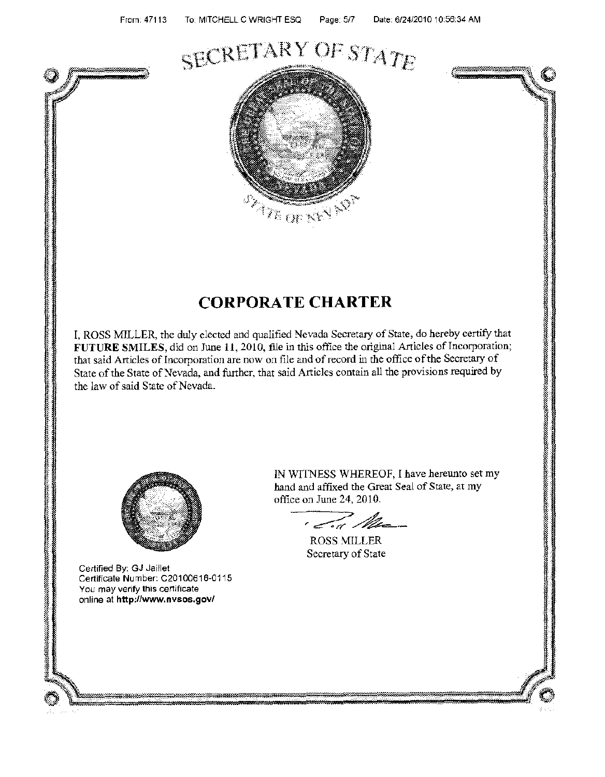# SECRETARY OF STATE



# CORPORATE CHARTER

I, ROSS MILLER, the duly elected and qualified Ne\'ada Secretary of State, do hereby certify that **FUTURE** SMILES, did on June 11, 2010, file in this office the original Articles of Incorporation; that said Articles of Incorporation are now on file and of record in the office of the Secretary of State of the State of Nevada, and further, that said Articles contain all the provisions required by the law of said State of Nevada.



Certified By: GJ Jaillet Certificate Number: C20100616-0115 You may verify this certificate online at **http://www.nvsos.gov/** 

)" ' IN WITNESS WHEREOF, I have hereunto set my hand and affixed the Great Seal of State, at my office on June 24, 2010.

, To Me

ROSS MILLER Secretary of State



I I I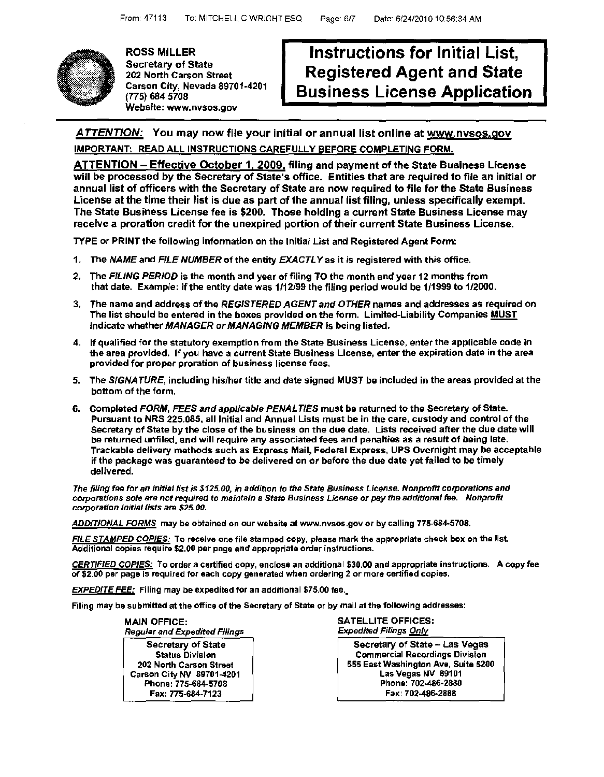

ROSS MILLER Secretary of State 202 North Carson Street Carson City, Nevada 89701-4201 (775) 684 5708 Website: www.nvsos.gov

# Instructions for Initial List, Registered Agent and State Business License Application

# ATTENTION: You may now file your initial or annual list online at www.nvsos.gov IMPORTANT: READ ALL INSTRUCTIONS CAREFULLY BEFORE COMPLETING FORM.

ATTENTION - Effective October 1, 2009, filing and payment of the State Business License will be processed by the Secretary of State's office. Entities that are required to file an initial or annual list of officers with the Secretary of State are now required to file for the State Business License at the time their list is due as part of the annual list filing, unless specifically exempt. The State Business License fee is \$200. Those holding a current State Business License may receive a proration credit for the unexpired portion of their current State Business License.

TYPE or PRINT the following information on the Initial List and Registered Agent Form:

- 1. The *NAME* and *FILE NUMBER* of the entity *EXACTLY* as it is registered with this office.
- 2. The *FILING PERIOD* is the month and year of filing TO the month and year 12 months from that date. Example: if the entity date was 1/12/99 the filing period would be 1/1999 to 1/2000.
- 3. The name and address of the *REGISTERED AGENT and OTHER* names and addresses as required on The list should be entered in the boxes provided on the form. Limited-Liability Companies MUST Indicate whether *MANAGER or MANAGING MEMBER* is being listed.
- 4. If qualified for the statutory exemption from the State Business License, enter the applicable code in the area provided. If you have a current State Business License, enter the expiration date in the area provided for proper proration of business license fees.
- 5. The *SIGNATURE,* including his/her title and date signed MUST be included in the areas provided at the bottom of the form.
- 6. Completed *FORM, FEES and applicable PENAL TIES* must be returned to the Secretary of State. Pursuant to NRS 225.085, all Initial and Annual Lists must be in the care, custody and control of the Secretary of State by the close of the business on the due date. Lists received after the due date will be returned unfiled, and will require any associated fees and penalties as a result of being late, Trackable delivery methods such as Express Mail, Federal Express, UPS Overnight may be acceptable if the package was guaranteed to be delivered on or before the due date yet failed to be timely delivered.

*The filing* fes *for an initial list is \$125.00,* in *addition to the State Business License. Nonprofit corporations and corporations sole are not required to maintain a State Business License or* pay *the additional* fee. *Nonprofit corporation initial lists are \$25.00.* 

ADDITIONAL FORMS may be obtained on our website at www.nvsos.gov *or* by calling 775-684-5708.

FILE STAMPED COPIES: To receive one file stamped copy, please mark the appropriate check box on the list. Additional copies require \$2.00 per page and appropriate order instructions.

CERTIFIED COPIES: To order a certified copy, enclose an additional \$30.00 and appropriate instructions. A copy fee of \$2.00 per page is required tor each copy generated when ordering 2 or more certified copies.

EXPEDITE FEE: Filing may be expedited for an additional \$75.00 fee.

Filing may be submitted at the office of the Secretary of State *or* by mail at the following addresses:

MAIN OFFICE: *Regular and Expedited Filings* 

Secretary of State Status Division 202 North Carson Street Carson City NV 89701-4201 Phone: 775-684-5708 Fax: 775-684-7123

SATELLITE OFFICES: *Expedited Filings Only* 

Secretary of State - Las Vegas Commercial Recordings Division 555 East Washington Ave, Suite 5200 Las Vegas NV 89101 Phone: 702-486·2880 Fax: 702-486·2888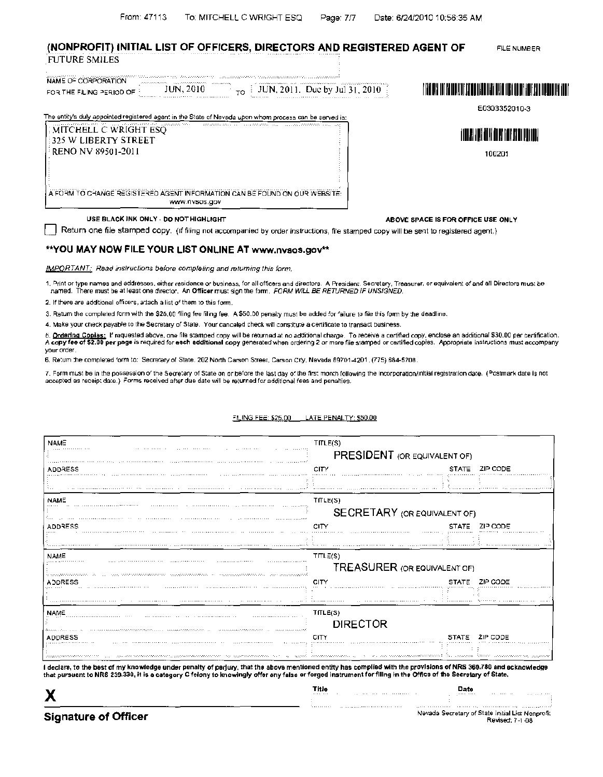#### (NONPROFIT) INITIAL LIST OF OFFICERS, DIRECTORS AND REGISTERED AGENT OF FUTURE SMILES FILE NUMBER

| NAME OF CORPORATION      | 11 MAA 2006 SAMARA KA MARA 1999 SAMARA KA KALE                          | The second control of the Commission of the control of the control of the control of the<br>.                                                       |                                                                                       |
|--------------------------|-------------------------------------------------------------------------|-----------------------------------------------------------------------------------------------------------------------------------------------------|---------------------------------------------------------------------------------------|
| FOR THE FILING PERIOD OF | <b>THE REPORT OF A STATE</b><br>aan annan sanna<br>Contractors<br>-2010 | and a statement of the control of the control of<br>a concerta con el contenente del comunica-<br>$\tau_{\rm rot}$ : JUN, 2011. Due by Jul 31, 2010 | I ITALIAN TUT KATUD ITID BANG TITOL DIKIL INIT TIRIT OLAH TARIF KATI TIDAGAN ITA TUTT |
|                          |                                                                         | .                                                                                                                                                   |                                                                                       |

E0303352010-3

I lllll 1111111111111111111111111111111

100201

| <b>MITCHELL C WRIGHT ESO</b> | and and the state of the company of the state of the company of the state of the state of the state of the state |
|------------------------------|------------------------------------------------------------------------------------------------------------------|
| 325 W LIBERTY STREET!        |                                                                                                                  |
| <b>ERENO NV 89501-2011</b>   |                                                                                                                  |
|                              |                                                                                                                  |
|                              |                                                                                                                  |
|                              |                                                                                                                  |
|                              | A FORM TO CHANGE REGISTERED AGENT INFORMATION CAN BE FOUND ON OUR WEBSITE.<br>WWW.NVSOS.GOV                      |

USE BLACK INK ONLY - DO NOT HIGHLIGHT

ABOVE SPACE IS FOR OFFICE USE ONLY

Return one file stamped copy. (If filing not accompanied by order instructions, file stamped copy will be sent to registered agent.)

#### \*\*YOU MAY NOW FILE YOUR LIST ONLINE AT www.nvsos.gov\*\*

IMPORTANT: Read instructions before completing and returning this form.

1. Print or type names and addresses, either residence or business, for all officers and directors. A President, Secretary, Treasurer, or equivalent of and all Directors mus: be named. There mus! be at least one director. An Officer mus; sign the form. FORM WILL BE RETURNED IF UNSIGNED.

2. If there are additional officers, attach a list of them to this form.

3. Retum the completed form with the \$25.00 filing fee filing fee. A \$50.00 penalty must be added for failure to file this form by the deadline.

4. Make your check payable to the Secretary of State. Your canceled check will constitute a certificate to transact business.

*b\_* Ordering Copies: If raquested above, one file s:amped copy will be returned at no addnonal charge To recerve a certified copy, enclose an additional \$30.00 per certification. A copy fee of \$2.00 per page is required for each additional copy generated when ordering 2 or more file stamped or certified copies. Appropriate instructions must accompany your order.

6. Re:um :he comple:ed 'orm *to:* Secra:ary of State. 202 North Carson S:ree1, Carson Cr!y. Nevada 89701-4201, (775) 884-5708\_

7. Form must be in the possession of the Secretary of State on or before the last day of the first month following the incorporation/initial registration date. (Postmark date is not accepted as receip: date.) Forms received after due date will be returned for additional fees and penalties.

| <b>NAME</b>                                                                                                   | TILLE(S)                                                                                                                                                                                                                                                                                                                                                                                           |                                                         |  |
|---------------------------------------------------------------------------------------------------------------|----------------------------------------------------------------------------------------------------------------------------------------------------------------------------------------------------------------------------------------------------------------------------------------------------------------------------------------------------------------------------------------------------|---------------------------------------------------------|--|
| .                                                                                                             |                                                                                                                                                                                                                                                                                                                                                                                                    | PRESIDENT (OR EQUIVALENT OF)                            |  |
| ADDRESS                                                                                                       | CITY                                                                                                                                                                                                                                                                                                                                                                                               | <b>STATE</b><br>ZIP CODE                                |  |
|                                                                                                               |                                                                                                                                                                                                                                                                                                                                                                                                    |                                                         |  |
| <b>NAME</b>                                                                                                   | TfLE(S)                                                                                                                                                                                                                                                                                                                                                                                            |                                                         |  |
|                                                                                                               |                                                                                                                                                                                                                                                                                                                                                                                                    | <b>SECRETARY</b> (OR EQUIVALENT OF)                     |  |
| <b>ADDRESS</b>                                                                                                | CITY                                                                                                                                                                                                                                                                                                                                                                                               | ZIP CODE                                                |  |
|                                                                                                               |                                                                                                                                                                                                                                                                                                                                                                                                    |                                                         |  |
| NAME                                                                                                          | TTLE(S)                                                                                                                                                                                                                                                                                                                                                                                            |                                                         |  |
|                                                                                                               |                                                                                                                                                                                                                                                                                                                                                                                                    | <b>TREASURER (OR EQUIVALENT OF)</b>                     |  |
| ADDRESS                                                                                                       | . The communication of the production of the communication of the communication of the communication<br>CITY                                                                                                                                                                                                                                                                                       | STATE ZIP CODE                                          |  |
|                                                                                                               |                                                                                                                                                                                                                                                                                                                                                                                                    |                                                         |  |
| <b>NAME</b>                                                                                                   | TfLE(S)                                                                                                                                                                                                                                                                                                                                                                                            |                                                         |  |
| an any mponindronan-pandronan-popyritational and any proposition in a comparable of the second proposition of | <b>DIRECTOR</b>                                                                                                                                                                                                                                                                                                                                                                                    |                                                         |  |
| ADDRESS                                                                                                       | CITY                                                                                                                                                                                                                                                                                                                                                                                               | ZIP COOF<br><b>STATE</b>                                |  |
|                                                                                                               |                                                                                                                                                                                                                                                                                                                                                                                                    |                                                         |  |
|                                                                                                               | The construction of the community the community of the second community of the second construction of the second second second second second second second second second second second second second second second second seco<br>i declars, to the best of my knowledge under penalty of perjury, that the above mentioned entity has complied with the provisions of NRS 360.780 and ecknowledge | The construction of the construction of the preparation |  |

x Title ""•

#### ~!LING FEC: \$25.00 LATE PENAL TY: \$50.00

Nevada Secretary of State Initial List Nonprofit.<br>Revised: 7-1-08 Revised: 7-1-08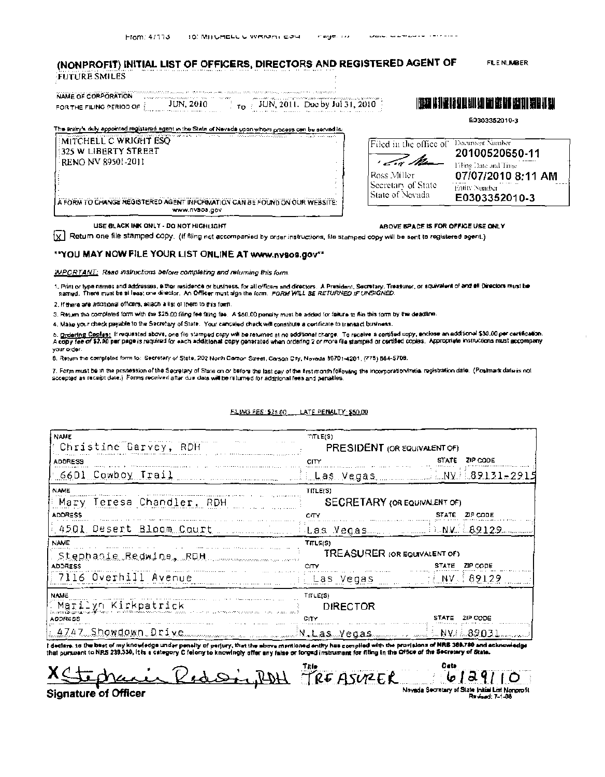## (NONPROFIT) INITIAL LIST OF OFFICERS, DIRECTORS AND REGISTERED AGENT OF **FUTURE SMILES**

**FILE NUMBER** 

| NAME OF CORPORATION The account of the contract of the contract of the contract of the contract of the contract of<br>personal de la companya de la companya de la companya de la companya de la companya de la companya de la<br>$JUN, 2011.$ Due by Jul 31, $2010$<br>JUN, 2010.<br>FOR THE FILING PERIOD OF<br>and the state of the concerns of the common property of<br>THE R. P. LEWIS CO., LANSING MICH. 49-14039-1-120-2 | 朝鮮  相島  和町  和田 取開 岡川 開山 山前 |
|----------------------------------------------------------------------------------------------------------------------------------------------------------------------------------------------------------------------------------------------------------------------------------------------------------------------------------------------------------------------------------------------------------------------------------|----------------------------|
|                                                                                                                                                                                                                                                                                                                                                                                                                                  | E0303352010-3              |

| The artiny's duly appointed registered agent in the State of Nevada upon whom process con be servad is:                                                                                                                 |
|-------------------------------------------------------------------------------------------------------------------------------------------------------------------------------------------------------------------------|
| the concentration of final fields are seen as a manufacturer of<br>the control of the law and that it is the analysis of the control of the<br><b>CONTRACTOR</b><br>a considerable contractors<br>MITCHELL C WRIGHT ESO |
| 1:325 W LIBERTY STREET                                                                                                                                                                                                  |
| RENO NV 89501-2011                                                                                                                                                                                                      |
|                                                                                                                                                                                                                         |
|                                                                                                                                                                                                                         |
|                                                                                                                                                                                                                         |
| A FORM TO CHANGE REGISTERED AGENT INFORMATION CAN BE FOUND ON OUR WEBSITE:<br>WWW.IIVSOS.COV                                                                                                                            |

Filed in the office of Document Number 20100520650-11 ' In Ma Filing Date and Time Ross Miller 07/07/2010 8:11 AM Secretary of State ......<br>Entity Number State of Nevada E0303352010-3

ABOVE 5PACE IS FOR OFFICE USE ONLY

USE BLACK INK ONLY - DO NOT HIGH LIGHT

 $\lceil \chi \rceil$  Return one file stamped CODy. (If fling not accompanied by order instructions, file stamped copy will be sent to registered agent.)

#### \*\* YOU MAY NOW FILE YOUR LIST ONLINE AT WWW.nysos.gov\*\*

IMPCRTANT: Read instructions before completing and returning this form.

1. Print or type names and addresses, either residence or bustness, for all officers and directors. A President, Secretary, Treasurer, or equivalent of and ell Directors must be<br>named. There must be at least one director.

2. If there are additional officers, attach a list of them to this form.

3. Return the completed form with the \$25.00 filing fee faing fee. A \$50.00 penalty must be added for failure to file this form by the deadline.

4. Make your check payable to the Secretary of State. Your canceled check will constitute a certificate to transact business.

o. <u>Ordering Cooles:</u> If requested above, one file stamped copy wit be returned at no edditional charge. To receive a cardied copy, enclose an additional \$30.00 per certification.<br>A copy fee of \$2.00 per page is required f your order.

8. Return the completed form to: Secretary of State, 202 Nonth Carson Street, Carson City, Neveda 89701-4201, (775) 864-5708.

7. Form must be in the possession of the Secretary of State on or before the last gay of the first month folkning the incorporation/mitial registration date. (Postmark date is not accepted as recept date.) Forms received after due data will be returned for additional fees and penalties.

| <b>NAME</b><br>Christine Garvey, RDH | THLE(S)<br>PRESIDENT (OR EQUIVALENT OF) |                   |  |
|--------------------------------------|-----------------------------------------|-------------------|--|
| <b>ADDRESS</b>                       | CITY                                    | STATE<br>ZIP CODE |  |
| 6601 Cowboy Trail                    |                                         |                   |  |
| <b>NAME</b>                          | TITLE(S)                                |                   |  |
| Mary Teresa Chandler, RDH            | SECRETARY (OR EQUIVALENT OF)            |                   |  |
| <b>ADDRESS</b>                       | CITY                                    | STATE ZIP CODE    |  |
| A 4501 Desert Bloom Court            |                                         |                   |  |
| <b>NAME</b>                          | TITLE(S)                                |                   |  |
| Stephanie Redwine, RDH               | TREASURER (OR EQUIVALENT OF)            |                   |  |
| <b>ADDRESS</b>                       | CITY                                    | STATE ZIP CODE    |  |
| 7116 Overhill Avenue                 | Elas Vegas et NV 89129                  |                   |  |
| <b>NAME</b>                          | TITLE(S)                                |                   |  |
| Marilyn Kirkpatrick                  | DIRECTOR                                |                   |  |
| <b>ADDRESS</b>                       | CITY                                    | STATE ZIP CODE    |  |
| 14747 Showdown Drive                 |                                         |                   |  |

FILING FES: \$25.00 LATE PENALTY: \$50.00

I declare. to the best of my knowledge under penalty of perjury, that the above mentioned entity has compiled with the provisions of NRS 388.789 and acknowledge<br>that pursuant to NRS 239.330, it is a category C felony to kn

in RedsigROH PREASURER Date 61291 1 O Nevada Secretary of State Initial List Nonprofit **Signature of Officer Reviews: 7-1-08**